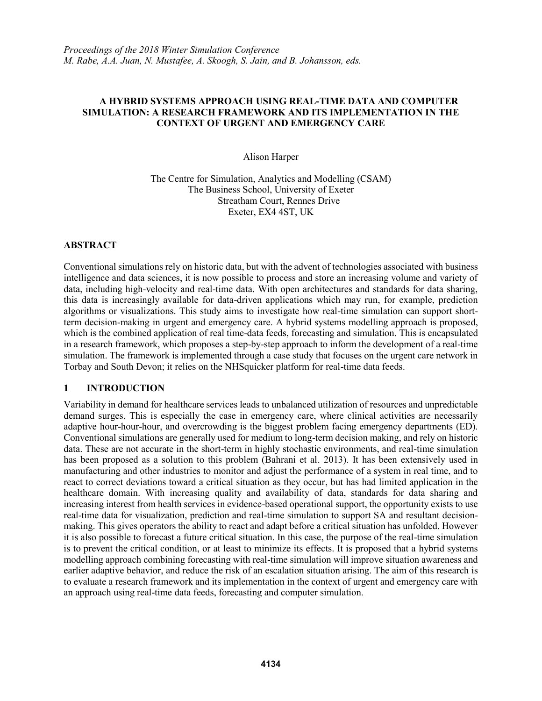# **A HYBRID SYSTEMS APPROACH USING REAL-TIME DATA AND COMPUTER SIMULATION: A RESEARCH FRAMEWORK AND ITS IMPLEMENTATION IN THE CONTEXT OF URGENT AND EMERGENCY CARE**

Alison Harper

The Centre for Simulation, Analytics and Modelling (CSAM) The Business School, University of Exeter Streatham Court, Rennes Drive Exeter, EX4 4ST, UK

# **ABSTRACT**

Conventional simulations rely on historic data, but with the advent of technologies associated with business intelligence and data sciences, it is now possible to process and store an increasing volume and variety of data, including high-velocity and real-time data. With open architectures and standards for data sharing, this data is increasingly available for data-driven applications which may run, for example, prediction algorithms or visualizations. This study aims to investigate how real-time simulation can support shortterm decision-making in urgent and emergency care. A hybrid systems modelling approach is proposed, which is the combined application of real time-data feeds, forecasting and simulation. This is encapsulated in a research framework, which proposes a step-by-step approach to inform the development of a real-time simulation. The framework is implemented through a case study that focuses on the urgent care network in Torbay and South Devon; it relies on the NHSquicker platform for real-time data feeds.

# **1 INTRODUCTION**

Variability in demand for healthcare services leads to unbalanced utilization of resources and unpredictable demand surges. This is especially the case in emergency care, where clinical activities are necessarily adaptive hour-hour-hour, and overcrowding is the biggest problem facing emergency departments (ED). Conventional simulations are generally used for medium to long-term decision making, and rely on historic data. These are not accurate in the short-term in highly stochastic environments, and real-time simulation has been proposed as a solution to this problem (Bahrani et al. 2013). It has been extensively used in manufacturing and other industries to monitor and adjust the performance of a system in real time, and to react to correct deviations toward a critical situation as they occur, but has had limited application in the healthcare domain. With increasing quality and availability of data, standards for data sharing and increasing interest from health services in evidence-based operational support, the opportunity exists to use real-time data for visualization, prediction and real-time simulation to support SA and resultant decisionmaking. This gives operators the ability to react and adapt before a critical situation has unfolded. However it is also possible to forecast a future critical situation. In this case, the purpose of the real-time simulation is to prevent the critical condition, or at least to minimize its effects. It is proposed that a hybrid systems modelling approach combining forecasting with real-time simulation will improve situation awareness and earlier adaptive behavior, and reduce the risk of an escalation situation arising. The aim of this research is to evaluate a research framework and its implementation in the context of urgent and emergency care with an approach using real-time data feeds, forecasting and computer simulation.